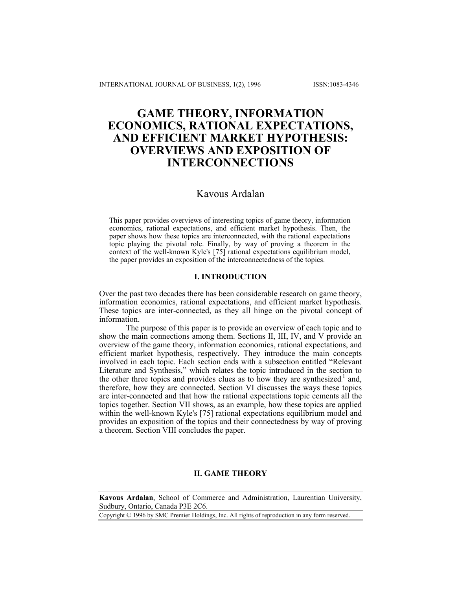# **GAME THEORY, INFORMATION ECONOMICS, RATIONAL EXPECTATIONS, AND EFFICIENT MARKET HYPOTHESIS: OVERVIEWS AND EXPOSITION OF INTERCONNECTIONS**

# Kavous Ardalan

This paper provides overviews of interesting topics of game theory, information economics, rational expectations, and efficient market hypothesis. Then, the paper shows how these topics are interconnected, with the rational expectations topic playing the pivotal role. Finally, by way of proving a theorem in the context of the well-known Kyle's [75] rational expectations equilibrium model, the paper provides an exposition of the interconnectedness of the topics.

# **I. INTRODUCTION**

Over the past two decades there has been considerable research on game theory, information economics, rational expectations, and efficient market hypothesis. These topics are inter-connected, as they all hinge on the pivotal concept of information.

The purpose of this paper is to provide an overview of each topic and to show the main connections among them. Sections II, III, IV, and V provide an overview of the game theory, information economics, rational expectations, and efficient market hypothesis, respectively. They introduce the main concepts involved in each topic. Each section ends with a subsection entitled "Relevant Literature and Synthesis," which relates the topic introduced in the section to the other three topics and provides clues as to how they are synthesized.<sup>1</sup> and, therefore, how they are connected. Section VI discusses the ways these topics are inter-connected and that how the rational expectations topic cements all the topics together. Section VII shows, as an example, how these topics are applied within the well-known Kyle's [75] rational expectations equilibrium model and provides an exposition of the topics and their connectedness by way of proving a theorem. Section VIII concludes the paper.

# **II. GAME THEORY**

**Kavous Ardalan**, School of Commerce and Administration, Laurentian University, Sudbury, Ontario, Canada P3E 2C6.

Copyright © 1996 by SMC Premier Holdings, Inc. All rights of reproduction in any form reserved.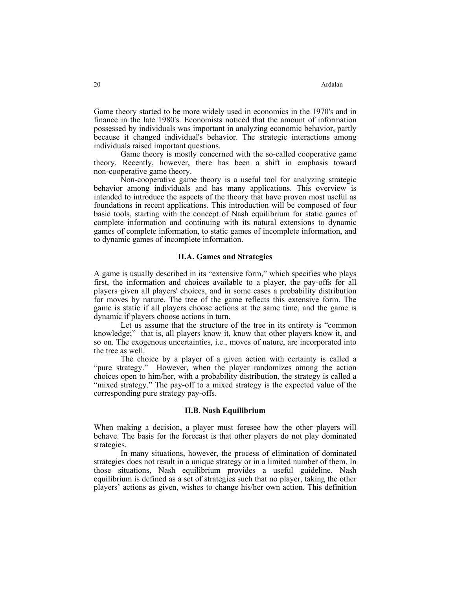Game theory started to be more widely used in economics in the 1970's and in finance in the late 1980's. Economists noticed that the amount of information possessed by individuals was important in analyzing economic behavior, partly because it changed individual's behavior. The strategic interactions among individuals raised important questions.

 Game theory is mostly concerned with the so-called cooperative game theory. Recently, however, there has been a shift in emphasis toward non-cooperative game theory.

 Non-cooperative game theory is a useful tool for analyzing strategic behavior among individuals and has many applications. This overview is intended to introduce the aspects of the theory that have proven most useful as foundations in recent applications. This introduction will be composed of four basic tools, starting with the concept of Nash equilibrium for static games of complete information and continuing with its natural extensions to dynamic games of complete information, to static games of incomplete information, and to dynamic games of incomplete information.

# **II.A. Games and Strategies**

A game is usually described in its "extensive form," which specifies who plays first, the information and choices available to a player, the pay-offs for all players given all players' choices, and in some cases a probability distribution for moves by nature. The tree of the game reflects this extensive form. The game is static if all players choose actions at the same time, and the game is dynamic if players choose actions in turn.

 Let us assume that the structure of the tree in its entirety is "common knowledge;" that is, all players know it, know that other players know it, and so on. The exogenous uncertainties, i.e., moves of nature, are incorporated into the tree as well.

 The choice by a player of a given action with certainty is called a "pure strategy." However, when the player randomizes among the action choices open to him/her, with a probability distribution, the strategy is called a "mixed strategy." The pay-off to a mixed strategy is the expected value of the corresponding pure strategy pay-offs.

#### **II.B. Nash Equilibrium**

When making a decision, a player must foresee how the other players will behave. The basis for the forecast is that other players do not play dominated strategies.

 In many situations, however, the process of elimination of dominated strategies does not result in a unique strategy or in a limited number of them. In those situations, Nash equilibrium provides a useful guideline. Nash equilibrium is defined as a set of strategies such that no player, taking the other players' actions as given, wishes to change his/her own action. This definition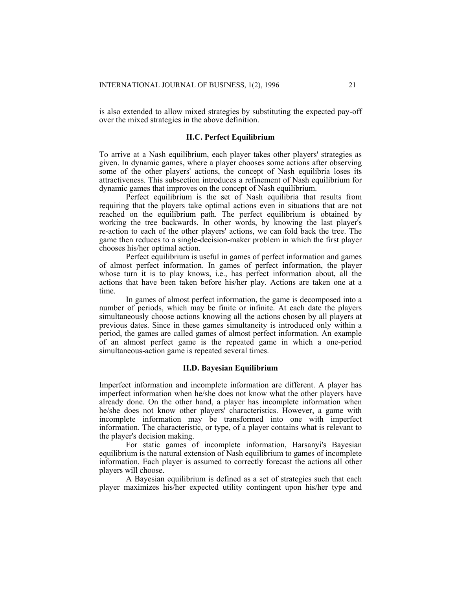is also extended to allow mixed strategies by substituting the expected pay-off over the mixed strategies in the above definition.

# **II.C. Perfect Equilibrium**

To arrive at a Nash equilibrium, each player takes other players' strategies as given. In dynamic games, where a player chooses some actions after observing some of the other players' actions, the concept of Nash equilibria loses its attractiveness. This subsection introduces a refinement of Nash equilibrium for dynamic games that improves on the concept of Nash equilibrium.

 Perfect equilibrium is the set of Nash equilibria that results from requiring that the players take optimal actions even in situations that are not reached on the equilibrium path. The perfect equilibrium is obtained by working the tree backwards. In other words, by knowing the last player's re-action to each of the other players' actions, we can fold back the tree. The game then reduces to a single-decision-maker problem in which the first player chooses his/her optimal action.

 Perfect equilibrium is useful in games of perfect information and games of almost perfect information. In games of perfect information, the player whose turn it is to play knows, i.e., has perfect information about, all the actions that have been taken before his/her play. Actions are taken one at a time.

 In games of almost perfect information, the game is decomposed into a number of periods, which may be finite or infinite. At each date the players simultaneously choose actions knowing all the actions chosen by all players at previous dates. Since in these games simultaneity is introduced only within a period, the games are called games of almost perfect information. An example of an almost perfect game is the repeated game in which a one-period simultaneous-action game is repeated several times.

#### **II.D. Bayesian Equilibrium**

Imperfect information and incomplete information are different. A player has imperfect information when he/she does not know what the other players have already done. On the other hand, a player has incomplete information when he/she does not know other players' characteristics. However, a game with incomplete information may be transformed into one with imperfect information. The characteristic, or type, of a player contains what is relevant to the player's decision making.

 For static games of incomplete information, Harsanyi's Bayesian equilibrium is the natural extension of Nash equilibrium to games of incomplete information. Each player is assumed to correctly forecast the actions all other players will choose.

 A Bayesian equilibrium is defined as a set of strategies such that each player maximizes his/her expected utility contingent upon his/her type and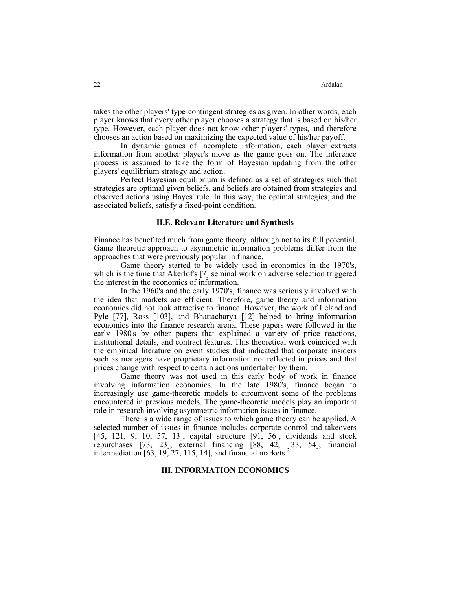takes the other players' type-contingent strategies as given. In other words, each player knows that every other player chooses a strategy that is based on his/her type. However, each player does not know other players' types, and therefore chooses an action based on maximizing the expected value of his/her payoff.

 In dynamic games of incomplete information, each player extracts information from another player's move as the game goes on. The inference process is assumed to take the form of Bayesian updating from the other players' equilibrium strategy and action.

 Perfect Bayesian equilibrium is defined as a set of strategies such that strategies are optimal given beliefs, and beliefs are obtained from strategies and observed actions using Bayes' rule. In this way, the optimal strategies, and the associated beliefs, satisfy a fixed-point condition.

#### **II.E. Relevant Literature and Synthesis**

Finance has benefited much from game theory, although not to its full potential. Game theoretic approach to asymmetric information problems differ from the approaches that were previously popular in finance.

 Game theory started to be widely used in economics in the 1970's, which is the time that Akerlof's [7] seminal work on adverse selection triggered the interest in the economics of information.

 In the 1960's and the early 1970's, finance was seriously involved with the idea that markets are efficient. Therefore, game theory and information economics did not look attractive to finance. However, the work of Leland and Pyle [77], Ross [103], and Bhattacharya [12] helped to bring information economics into the finance research arena. These papers were followed in the early 1980's by other papers that explained a variety of price reactions, institutional details, and contract features. This theoretical work coincided with the empirical literature on event studies that indicated that corporate insiders such as managers have proprietary information not reflected in prices and that prices change with respect to certain actions undertaken by them.

 Game theory was not used in this early body of work in finance involving information economics. In the late 1980's, finance began to increasingly use game-theoretic models to circumvent some of the problems encountered in previous models. The game-theoretic models play an important role in research involving asymmetric information issues in finance.

 There is a wide range of issues to which game theory can be applied. A selected number of issues in finance includes corporate control and takeovers [45, 121, 9, 10, 57, 13], capital structure [91, 56], dividends and stock repurchases [73, 23], external financing [88, 42, 133, 54], financial intermediation  $[63, 19, 27, 115, 14]$ , and financial markets.<sup>2</sup>

#### **III. INFORMATION ECONOMICS**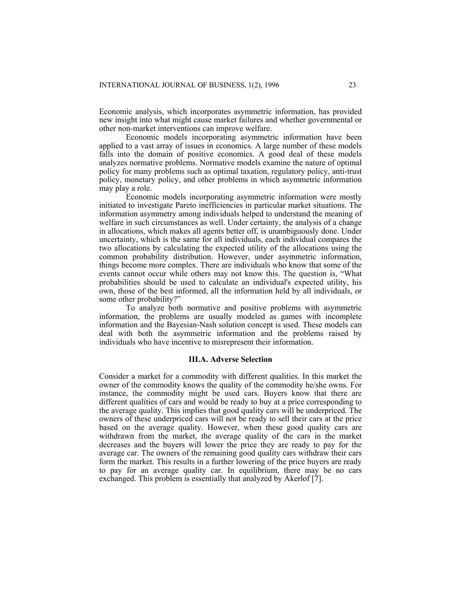Economic analysis, which incorporates asymmetric information, has provided new insight into what might cause market failures and whether governmental or other non-market interventions can improve welfare.

 Economic models incorporating asymmetric information have been applied to a vast array of issues in economics. A large number of these models falls into the domain of positive economics. A good deal of these models analyzes normative problems. Normative models examine the nature of optimal policy for many problems such as optimal taxation, regulatory policy, anti-trust policy, monetary policy, and other problems in which asymmetric information may play a role.

 Economic models incorporating asymmetric information were mostly initiated to investigate Pareto inefficiencies in particular market situations. The information asymmetry among individuals helped to understand the meaning of welfare in such circumstances as well. Under certainty, the analysis of a change in allocations, which makes all agents better off, is unambiguously done. Under uncertainty, which is the same for all individuals, each individual compares the two allocations by calculating the expected utility of the allocations using the common probability distribution. However, under asymmetric information, things become more complex. There are individuals who know that some of the events cannot occur while others may not know this. The question is, "What probabilities should be used to calculate an individual's expected utility, his own, those of the best informed, all the information held by all individuals, or some other probability?"

 To analyze both normative and positive problems with asymmetric information, the problems are usually modeled as games with incomplete information and the Bayesian-Nash solution concept is used. These models can deal with both the asymmetric information and the problems raised by individuals who have incentive to misrepresent their information.

#### **III.A. Adverse Selection**

Consider a market for a commodity with different qualities. In this market the owner of the commodity knows the quality of the commodity he/she owns. For instance, the commodity might be used cars. Buyers know that there are different qualities of cars and would be ready to buy at a price corresponding to the average quality. This implies that good quality cars will be underpriced. The owners of these underpriced cars will not be ready to sell their cars at the price based on the average quality. However, when these good quality cars are withdrawn from the market, the average quality of the cars in the market decreases and the buyers will lower the price they are ready to pay for the average car. The owners of the remaining good quality cars withdraw their cars form the market. This results in a further lowering of the price buyers are ready to pay for an average quality car. In equilibrium, there may be no cars exchanged. This problem is essentially that analyzed by Akerlof [7].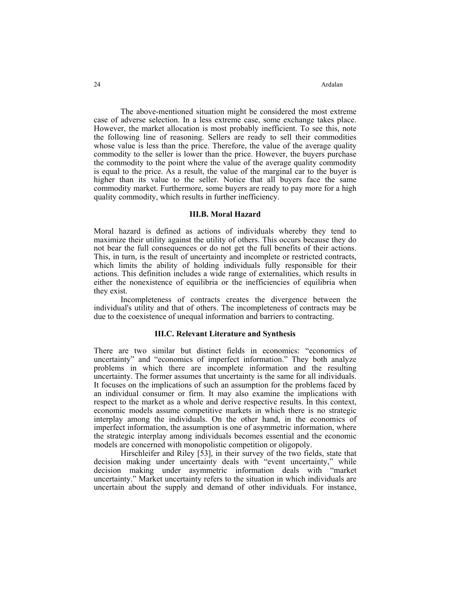24 Ardalan **Arta** 

 The above-mentioned situation might be considered the most extreme case of adverse selection. In a less extreme case, some exchange takes place. However, the market allocation is most probably inefficient. To see this, note the following line of reasoning. Sellers are ready to sell their commodities whose value is less than the price. Therefore, the value of the average quality commodity to the seller is lower than the price. However, the buyers purchase the commodity to the point where the value of the average quality commodity is equal to the price. As a result, the value of the marginal car to the buyer is higher than its value to the seller. Notice that all buyers face the same commodity market. Furthermore, some buyers are ready to pay more for a high quality commodity, which results in further inefficiency.

#### **III.B. Moral Hazard**

Moral hazard is defined as actions of individuals whereby they tend to maximize their utility against the utility of others. This occurs because they do not bear the full consequences or do not get the full benefits of their actions. This, in turn, is the result of uncertainty and incomplete or restricted contracts, which limits the ability of holding individuals fully responsible for their actions. This definition includes a wide range of externalities, which results in either the nonexistence of equilibria or the inefficiencies of equilibria when they exist.

 Incompleteness of contracts creates the divergence between the individual's utility and that of others. The incompleteness of contracts may be due to the coexistence of unequal information and barriers to contracting.

#### **III.C. Relevant Literature and Synthesis**

There are two similar but distinct fields in economics: "economics of uncertainty" and "economics of imperfect information." They both analyze problems in which there are incomplete information and the resulting uncertainty. The former assumes that uncertainty is the same for all individuals. It focuses on the implications of such an assumption for the problems faced by an individual consumer or firm. It may also examine the implications with respect to the market as a whole and derive respective results. In this context, economic models assume competitive markets in which there is no strategic interplay among the individuals. On the other hand, in the economics of imperfect information, the assumption is one of asymmetric information, where the strategic interplay among individuals becomes essential and the economic models are concerned with monopolistic competition or oligopoly.

 Hirschleifer and Riley [53], in their survey of the two fields, state that decision making under uncertainty deals with "event uncertainty," while decision making under asymmetric information deals with "market uncertainty." Market uncertainty refers to the situation in which individuals are uncertain about the supply and demand of other individuals. For instance,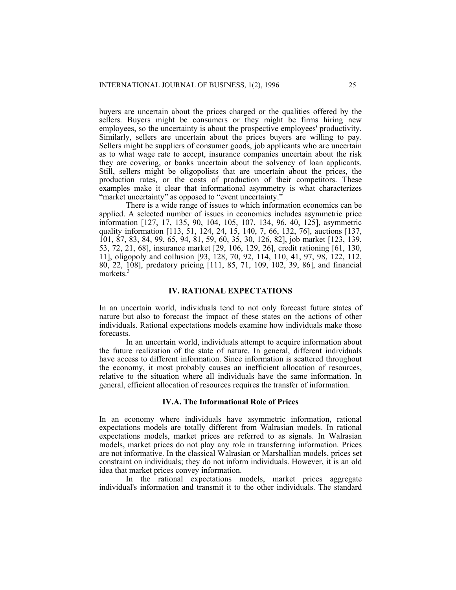buyers are uncertain about the prices charged or the qualities offered by the sellers. Buyers might be consumers or they might be firms hiring new employees, so the uncertainty is about the prospective employees' productivity. Similarly, sellers are uncertain about the prices buyers are willing to pay. Sellers might be suppliers of consumer goods, job applicants who are uncertain as to what wage rate to accept, insurance companies uncertain about the risk they are covering, or banks uncertain about the solvency of loan applicants. Still, sellers might be oligopolists that are uncertain about the prices, the production rates, or the costs of production of their competitors. These examples make it clear that informational asymmetry is what characterizes "market uncertainty" as opposed to "event uncertainty."

 There is a wide range of issues to which information economics can be applied. A selected number of issues in economics includes asymmetric price information [127, 17, 135, 90, 104, 105, 107, 134, 96, 40, 125], asymmetric quality information [113, 51, 124, 24, 15, 140, 7, 66, 132, 76], auctions [137, 101, 87, 83, 84, 99, 65, 94, 81, 59, 60, 35, 30, 126, 82], job market [123, 139, 53, 72, 21, 68], insurance market [29, 106, 129, 26], credit rationing [61, 130, 11], oligopoly and collusion [93, 128, 70, 92, 114, 110, 41, 97, 98, 122, 112, 80, 22, 108], predatory pricing [111, 85, 71, 109, 102, 39, 86], and financial markets. $\frac{3}{2}$ 

#### **IV. RATIONAL EXPECTATIONS**

In an uncertain world, individuals tend to not only forecast future states of nature but also to forecast the impact of these states on the actions of other individuals. Rational expectations models examine how individuals make those forecasts.

 In an uncertain world, individuals attempt to acquire information about the future realization of the state of nature. In general, different individuals have access to different information. Since information is scattered throughout the economy, it most probably causes an inefficient allocation of resources, relative to the situation where all individuals have the same information. In general, efficient allocation of resources requires the transfer of information.

#### **IV.A. The Informational Role of Prices**

In an economy where individuals have asymmetric information, rational expectations models are totally different from Walrasian models. In rational expectations models, market prices are referred to as signals. In Walrasian models, market prices do not play any role in transferring information. Prices are not informative. In the classical Walrasian or Marshallian models, prices set constraint on individuals; they do not inform individuals. However, it is an old idea that market prices convey information.

In the rational expectations models, market prices aggregate individual's information and transmit it to the other individuals. The standard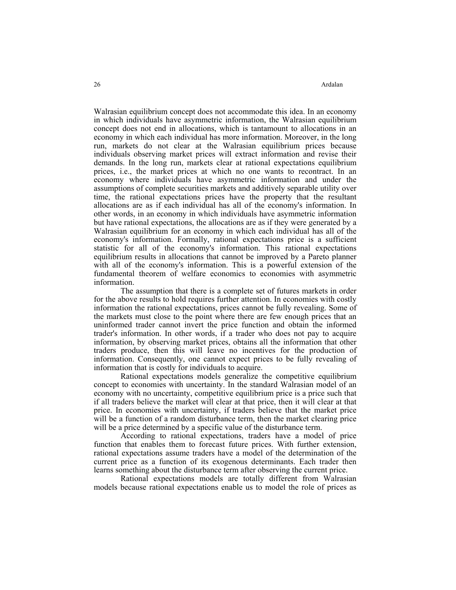Walrasian equilibrium concept does not accommodate this idea. In an economy in which individuals have asymmetric information, the Walrasian equilibrium concept does not end in allocations, which is tantamount to allocations in an economy in which each individual has more information. Moreover, in the long run, markets do not clear at the Walrasian equilibrium prices because individuals observing market prices will extract information and revise their demands. In the long run, markets clear at rational expectations equilibrium prices, i.e., the market prices at which no one wants to recontract. In an economy where individuals have asymmetric information and under the assumptions of complete securities markets and additively separable utility over time, the rational expectations prices have the property that the resultant allocations are as if each individual has all of the economy's information. In other words, in an economy in which individuals have asymmetric information but have rational expectations, the allocations are as if they were generated by a Walrasian equilibrium for an economy in which each individual has all of the economy's information. Formally, rational expectations price is a sufficient statistic for all of the economy's information. This rational expectations equilibrium results in allocations that cannot be improved by a Pareto planner with all of the economy's information. This is a powerful extension of the fundamental theorem of welfare economics to economies with asymmetric information.

 The assumption that there is a complete set of futures markets in order for the above results to hold requires further attention. In economies with costly information the rational expectations, prices cannot be fully revealing. Some of the markets must close to the point where there are few enough prices that an uninformed trader cannot invert the price function and obtain the informed trader's information. In other words, if a trader who does not pay to acquire information, by observing market prices, obtains all the information that other traders produce, then this will leave no incentives for the production of information. Consequently, one cannot expect prices to be fully revealing of information that is costly for individuals to acquire.

 Rational expectations models generalize the competitive equilibrium concept to economies with uncertainty. In the standard Walrasian model of an economy with no uncertainty, competitive equilibrium price is a price such that if all traders believe the market will clear at that price, then it will clear at that price. In economies with uncertainty, if traders believe that the market price will be a function of a random disturbance term, then the market clearing price will be a price determined by a specific value of the disturbance term.

 According to rational expectations, traders have a model of price function that enables them to forecast future prices. With further extension, rational expectations assume traders have a model of the determination of the current price as a function of its exogenous determinants. Each trader then learns something about the disturbance term after observing the current price.

 Rational expectations models are totally different from Walrasian models because rational expectations enable us to model the role of prices as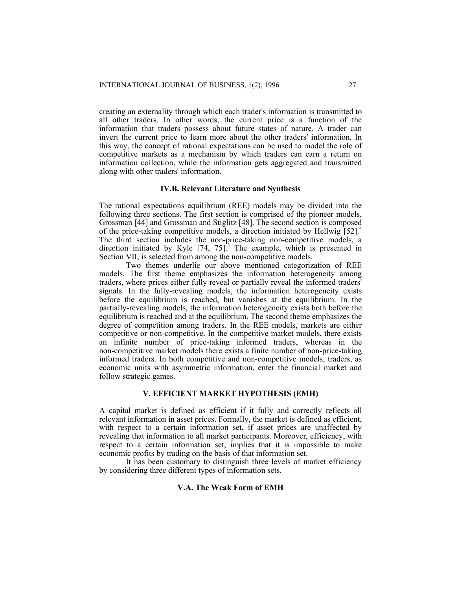creating an externality through which each trader's information is transmitted to all other traders. In other words, the current price is a function of the information that traders possess about future states of nature. A trader can invert the current price to learn more about the other traders' information. In this way, the concept of rational expectations can be used to model the role of competitive markets as a mechanism by which traders can earn a return on information collection, while the information gets aggregated and transmitted along with other traders' information.

#### **IV.B. Relevant Literature and Synthesis**

The rational expectations equilibrium (REE) models may be divided into the following three sections. The first section is comprised of the pioneer models, Grossman [44] and Grossman and Stiglitz [48]. The second section is composed of the price-taking competitive models, a direction initiated by Hellwig [52].4 The third section includes the non-price-taking non-competitive models, a direction initiated by Kyle  $[74, 75]$ <sup>5</sup>. The example, which is presented in Section VII, is selected from among the non-competitive models.

 Two themes underlie our above mentioned categorization of REE models. The first theme emphasizes the information heterogeneity among traders, where prices either fully reveal or partially reveal the informed traders' signals. In the fully-revealing models, the information heterogeneity exists before the equilibrium is reached, but vanishes at the equilibrium. In the partially-revealing models, the information heterogeneity exists both before the equilibrium is reached and at the equilibrium. The second theme emphasizes the degree of competition among traders. In the REE models, markets are either competitive or non-competitive. In the competitive market models, there exists an infinite number of price-taking informed traders, whereas in the non-competitive market models there exists a finite number of non-price-taking informed traders. In both competitive and non-competitive models, traders, as economic units with asymmetric information, enter the financial market and follow strategic games.

# **V. EFFICIENT MARKET HYPOTHESIS (EMH)**

A capital market is defined as efficient if it fully and correctly reflects all relevant information in asset prices. Formally, the market is defined as efficient, with respect to a certain information set, if asset prices are unaffected by revealing that information to all market participants. Moreover, efficiency, with respect to a certain information set, implies that it is impossible to make economic profits by trading on the basis of that information set.

 It has been customary to distinguish three levels of market efficiency by considering three different types of information sets.

# **V.A. The Weak Form of EMH**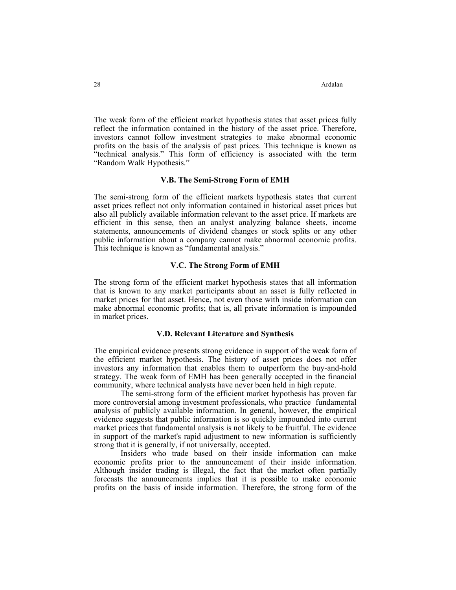The weak form of the efficient market hypothesis states that asset prices fully reflect the information contained in the history of the asset price. Therefore, investors cannot follow investment strategies to make abnormal economic profits on the basis of the analysis of past prices. This technique is known as "technical analysis." This form of efficiency is associated with the term "Random Walk Hypothesis."

#### **V.B. The Semi-Strong Form of EMH**

The semi-strong form of the efficient markets hypothesis states that current asset prices reflect not only information contained in historical asset prices but also all publicly available information relevant to the asset price. If markets are efficient in this sense, then an analyst analyzing balance sheets, income statements, announcements of dividend changes or stock splits or any other public information about a company cannot make abnormal economic profits. This technique is known as "fundamental analysis."

#### **V.C. The Strong Form of EMH**

The strong form of the efficient market hypothesis states that all information that is known to any market participants about an asset is fully reflected in market prices for that asset. Hence, not even those with inside information can make abnormal economic profits; that is, all private information is impounded in market prices.

#### **V.D. Relevant Literature and Synthesis**

The empirical evidence presents strong evidence in support of the weak form of the efficient market hypothesis. The history of asset prices does not offer investors any information that enables them to outperform the buy-and-hold strategy. The weak form of EMH has been generally accepted in the financial community, where technical analysts have never been held in high repute.

 The semi-strong form of the efficient market hypothesis has proven far more controversial among investment professionals, who practice fundamental analysis of publicly available information. In general, however, the empirical evidence suggests that public information is so quickly impounded into current market prices that fundamental analysis is not likely to be fruitful. The evidence in support of the market's rapid adjustment to new information is sufficiently strong that it is generally, if not universally, accepted.

 Insiders who trade based on their inside information can make economic profits prior to the announcement of their inside information. Although insider trading is illegal, the fact that the market often partially forecasts the announcements implies that it is possible to make economic profits on the basis of inside information. Therefore, the strong form of the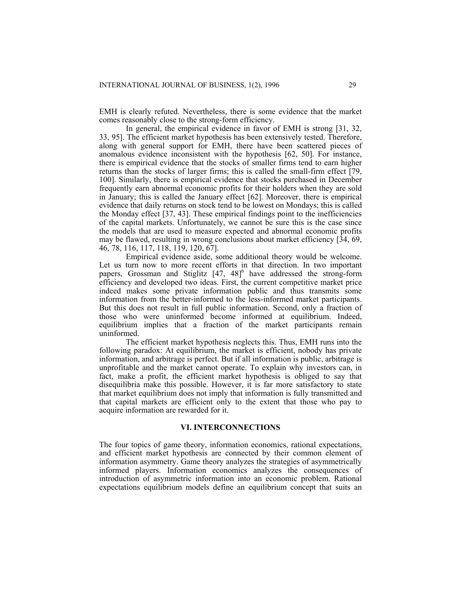EMH is clearly refuted. Nevertheless, there is some evidence that the market comes reasonably close to the strong-form efficiency.

 In general, the empirical evidence in favor of EMH is strong [31, 32, 33, 95]. The efficient market hypothesis has been extensively tested. Therefore, along with general support for EMH, there have been scattered pieces of anomalous evidence inconsistent with the hypothesis [62, 50]. For instance, there is empirical evidence that the stocks of smaller firms tend to earn higher returns than the stocks of larger firms; this is called the small-firm effect [79, 100]. Similarly, there is empirical evidence that stocks purchased in December frequently earn abnormal economic profits for their holders when they are sold in January; this is called the January effect [62]. Moreover, there is empirical evidence that daily returns on stock tend to be lowest on Mondays; this is called the Monday effect [37, 43]. These empirical findings point to the inefficiencies of the capital markets. Unfortunately, we cannot be sure this is the case since the models that are used to measure expected and abnormal economic profits may be flawed, resulting in wrong conclusions about market efficiency [34, 69, 46, 78, 116, 117, 118, 119, 120, 67].

 Empirical evidence aside, some additional theory would be welcome. Let us turn now to more recent efforts in that direction. In two important papers, Grossman and Stiglitz  $[47, 48]$ <sup>6</sup> have addressed the strong-form efficiency and developed two ideas. First, the current competitive market price indeed makes some private information public and thus transmits some information from the better-informed to the less-informed market participants. But this does not result in full public information. Second, only a fraction of those who were uninformed become informed at equilibrium. Indeed, equilibrium implies that a fraction of the market participants remain uninformed.

 The efficient market hypothesis neglects this. Thus, EMH runs into the following paradox: At equilibrium, the market is efficient, nobody has private information, and arbitrage is perfect. But if all information is public, arbitrage is unprofitable and the market cannot operate. To explain why investors can, in fact, make a profit, the efficient market hypothesis is obliged to say that disequilibria make this possible. However, it is far more satisfactory to state that market equilibrium does not imply that information is fully transmitted and that capital markets are efficient only to the extent that those who pay to acquire information are rewarded for it.

#### **VI. INTERCONNECTIONS**

The four topics of game theory, information economics, rational expectations, and efficient market hypothesis are connected by their common element of information asymmetry. Game theory analyzes the strategies of asymmetrically informed players. Information economics analyzes the consequences of introduction of asymmetric information into an economic problem. Rational expectations equilibrium models define an equilibrium concept that suits an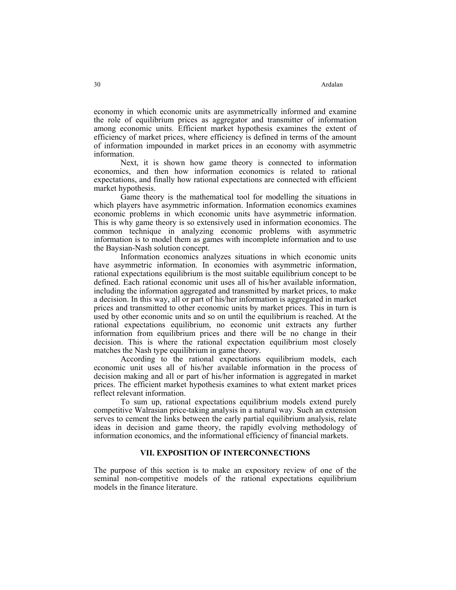economy in which economic units are asymmetrically informed and examine the role of equilibrium prices as aggregator and transmitter of information among economic units. Efficient market hypothesis examines the extent of efficiency of market prices, where efficiency is defined in terms of the amount of information impounded in market prices in an economy with asymmetric information.

 Next, it is shown how game theory is connected to information economics, and then how information economics is related to rational expectations, and finally how rational expectations are connected with efficient market hypothesis.

 Game theory is the mathematical tool for modelling the situations in which players have asymmetric information. Information economics examines economic problems in which economic units have asymmetric information. This is why game theory is so extensively used in information economics. The common technique in analyzing economic problems with asymmetric information is to model them as games with incomplete information and to use the Baysian-Nash solution concept.

 Information economics analyzes situations in which economic units have asymmetric information. In economies with asymmetric information, rational expectations equilibrium is the most suitable equilibrium concept to be defined. Each rational economic unit uses all of his/her available information, including the information aggregated and transmitted by market prices, to make a decision. In this way, all or part of his/her information is aggregated in market prices and transmitted to other economic units by market prices. This in turn is used by other economic units and so on until the equilibrium is reached. At the rational expectations equilibrium, no economic unit extracts any further information from equilibrium prices and there will be no change in their decision. This is where the rational expectation equilibrium most closely matches the Nash type equilibrium in game theory.

 According to the rational expectations equilibrium models, each economic unit uses all of his/her available information in the process of decision making and all or part of his/her information is aggregated in market prices. The efficient market hypothesis examines to what extent market prices reflect relevant information.

 To sum up, rational expectations equilibrium models extend purely competitive Walrasian price-taking analysis in a natural way. Such an extension serves to cement the links between the early partial equilibrium analysis, relate ideas in decision and game theory, the rapidly evolving methodology of information economics, and the informational efficiency of financial markets.

# **VII. EXPOSITION OF INTERCONNECTIONS**

The purpose of this section is to make an expository review of one of the seminal non-competitive models of the rational expectations equilibrium models in the finance literature.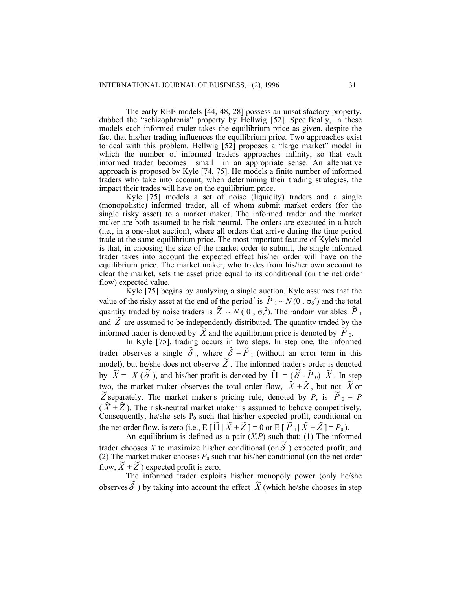The early REE models [44, 48, 28] possess an unsatisfactory property, dubbed the "schizophrenia" property by Hellwig [52]. Specifically, in these models each informed trader takes the equilibrium price as given, despite the fact that his/her trading influences the equilibrium price. Two approaches exist to deal with this problem. Hellwig [52] proposes a "large market" model in which the number of informed traders approaches infinity, so that each informed trader becomes small in an appropriate sense. An alternative approach is proposed by Kyle [74, 75]. He models a finite number of informed traders who take into account, when determining their trading strategies, the impact their trades will have on the equilibrium price.

Kyle [75] models a set of noise (liquidity) traders and a single (monopolistic) informed trader, all of whom submit market orders (for the single risky asset) to a market maker. The informed trader and the market maker are both assumed to be risk neutral. The orders are executed in a batch (i.e., in a one-shot auction), where all orders that arrive during the time period trade at the same equilibrium price. The most important feature of Kyle's model is that, in choosing the size of the market order to submit, the single informed trader takes into account the expected effect his/her order will have on the equilibrium price. The market maker, who trades from his/her own account to clear the market, sets the asset price equal to its conditional (on the net order flow) expected value.

Kyle [75] begins by analyzing a single auction. Kyle assumes that the value of the risky asset at the end of the period<sup>7</sup> is  $\tilde{P}_1 \sim N(0, \sigma_\delta^2)$  and the total quantity traded by noise traders is  $\tilde{Z} \sim N(0, \sigma_z^2)$ . The random variables  $\tilde{P}_1$ and  $\tilde{Z}$  are assumed to be independently distributed. The quantity traded by the informed trader is denoted by  $\widetilde{X}$  and the equilibrium price is denoted by  $\widetilde{P}_0$ .

In Kyle [75], trading occurs in two steps. In step one, the informed trader observes a single  $\tilde{\delta}$ , where  $\tilde{\delta} = \tilde{P}_1$  (without an error term in this model), but he/she does not observe  $\widetilde{Z}$ . The informed trader's order is denoted<br>les  $\widetilde{Y} = Y(\widetilde{S})$  and higher and the denoted les  $\widetilde{H} = (\widetilde{S} \cdot \widetilde{B}) \times \widetilde{Y}$ . In the by  $\widetilde{X} = X(\widetilde{\delta})$ , and his/her profit is denoted by  $\widetilde{\Pi} = (\widetilde{\delta} \cdot \widetilde{P}_0) \widetilde{X}$ . In step two, the market maker observes the total order flow,  $\widetilde{X} + \widetilde{Z}$ , but not  $\widetilde{X}$  or  $\widetilde{Z}$  concepts. The receive maker of the strains and denoted by  $P_1$  is  $\widetilde{P}_2 = P_1$  $\tilde{Z}$  separately. The market maker's pricing rule, denoted by *P*, is  $\tilde{P}_0 = P$  $\overline{X}$   $\neq \overline{Z}$ ). The risk-neutral market maker is assumed to behave competitively. Consequently, he/she sets  $P_0$  such that his/her expected profit, conditional on the set only flame is zero (i.e.  $\overline{p}$  if  $\overline{p}$  if  $\overline{p}$  if  $\overline{p}$  if  $\overline{p}$  if  $\overline{p}$  if  $\overline{p}$  if  $\overline{p}$  if  $\overline{p}$  i the net order flow, is zero (i.e.,  $E[\Pi | \tilde{X} + \tilde{Z}] = 0$  or  $E[\tilde{P}_1 | \tilde{X} + \tilde{Z}] = P_0$ ).

An equilibrium is defined as a pair (*X,P*) such that: (1) The informed trader chooses *X* to maximize his/her conditional (on  $\tilde{\delta}$ ) expected profit; and (2) The market maker chooses  $P_0$  such that his/her conditional (on the net order flow,  $\widetilde{X} + \widetilde{Z}$  ) expected profit is zero.

The informed trader exploits his/her monopoly power (only he/she observes  $\tilde{\delta}$ ) by taking into account the effect  $\tilde{X}$  (which he/she chooses in step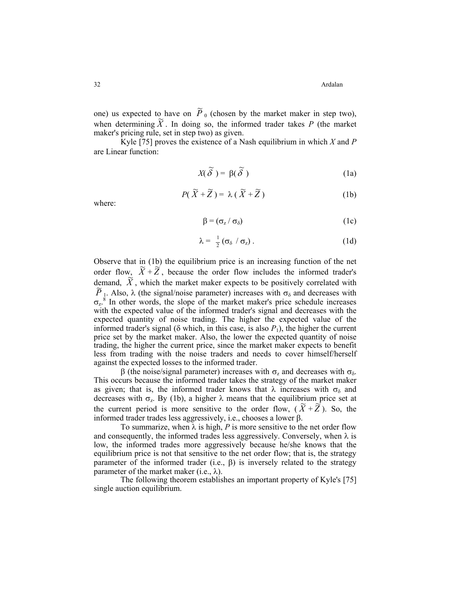32 Ardalan

one) us expected to have on  $\tilde{P}_0$  (chosen by the market maker in step two), when determining  $\tilde{X}$ . In doing so, the informed trader takes *P* (the market maker's pricing rule, set in step two) as given.

Kyle [75] proves the existence of a Nash equilibrium in which *X* and *P* are Linear function:

$$
X(\widetilde{\delta}) = \beta(\widetilde{\delta}) \tag{1a}
$$

$$
P(\widetilde{X} + \widetilde{Z}) = \lambda (\widetilde{X} + \widetilde{Z})
$$
 (1b)

where:

$$
\beta = (\sigma_z / \sigma_\delta) \tag{1c}
$$

$$
\lambda = \frac{1}{2} \left( \sigma_{\delta} / \sigma_{z} \right). \tag{1d}
$$

 $\overline{X}$  +  $\overline{Z}$ , because the order flow includes the informed trader's Observe that in (1b) the equilibrium price is an increasing function of the net demand,  $\widetilde{X}$ , which the market maker expects to be positively correlated with  $\widetilde{P}$ . Also 2 (the signal lastice generated) isomeopositive and democratively  $\tilde{P}_1$ . Also,  $\lambda$  (the signal/noise parameter) increases with  $\sigma_{\delta}$  and decreases with  $\sigma_z$ <sup>8</sup>. In other words, the slope of the market maker's price schedule increases with the expected value of the informed trader's signal and decreases with the expected quantity of noise trading. The higher the expected value of the informed trader's signal ( $\delta$  which, in this case, is also  $P_1$ ), the higher the current price set by the market maker. Also, the lower the expected quantity of noise trading, the higher the current price, since the market maker expects to benefit less from trading with the noise traders and needs to cover himself/herself against the expected losses to the informed trader.

β (the noise/signal parameter) increases with  $\sigma_z$  and decreases with  $\sigma_{\delta}$ . This occurs because the informed trader takes the strategy of the market maker as given; that is, the informed trader knows that  $\lambda$  increases with  $\sigma_{\delta}$  and decreases with  $\sigma_z$ . By (1b), a higher  $\lambda$  means that the equilibrium price set at the current period is more sensitive to the order flow,  $(\widetilde{X} + \widetilde{Z})$ . So, the informed trader trades less aggressively, i.e., chooses a lower β.

To summarize, when  $\lambda$  is high, P is more sensitive to the net order flow and consequently, the informed trades less aggressively. Conversely, when  $\lambda$  is low, the informed trades more aggressively because he/she knows that the equilibrium price is not that sensitive to the net order flow; that is, the strategy parameter of the informed trader (i.e.,  $\beta$ ) is inversely related to the strategy parameter of the market maker (i.e.,  $\lambda$ ).

The following theorem establishes an important property of Kyle's [75] single auction equilibrium.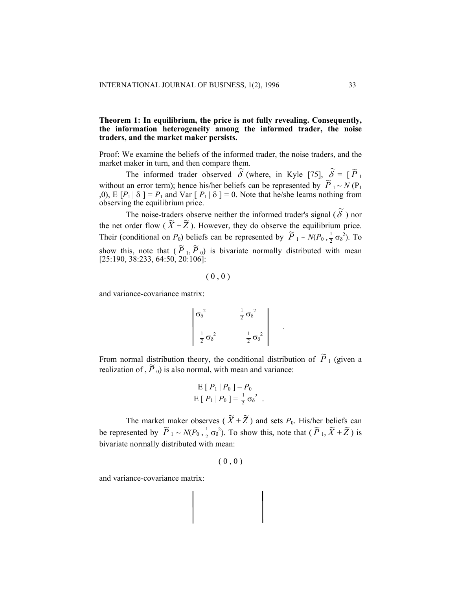# **Theorem 1: In equilibrium, the price is not fully revealing. Consequently, the information heterogeneity among the informed trader, the noise traders, and the market maker persists.**

Proof: We examine the beliefs of the informed trader, the noise traders, and the

market maker in turn, and then compare them.<br>
The informed trader observed  $\tilde{\delta}$  (where, in Kyle [75],  $\tilde{\delta} = [\tilde{P}_1$ <br>
without an error term); hence his/her beliefs can be represented by  $\tilde{P}_1 \sim N(P_1)$ ,0), E  $[P_1 | \delta] = P_1$  and Var  $[P_1 | \delta] = 0$ . Note that he/she learns nothing from observing the equilibrium price.

The noise-traders observe neither the informed trader's signal  $(\tilde{\delta})$  nor the net order flow  $(\tilde{X} + \tilde{Z})$ . However, they do observe the equilibrium price. Their (conditional on *P*<sub>0</sub>) beliefs can be represented by  $\tilde{P}_1 \sim N(P_0, \frac{1}{2} \sigma_0^2)$ . To show this, note that  $(\tilde{P}_1, \tilde{P}_0)$  is bivariate normally distributed with mean [25:190, 38:233, 64:50, 20:106]:

$$
(\;0\;,0\;)
$$

and variance-covariance matrix:

$$
\begin{vmatrix}\n\sigma_{\delta}^{2} & \frac{1}{2} \sigma_{\delta}^{2} \\
\frac{1}{2} \sigma_{\delta}^{2} & \frac{1}{2} \sigma_{\delta}^{2}\n\end{vmatrix}
$$

From normal distribution theory, the conditional distribution of  $\tilde{P}_1$  (given a rrom normal distribution dicory, the conditional distribution realization of ,  $\tilde{P}_0$ ) is also normal, with mean and variance:

$$
\begin{aligned} \nE [ P_1 | P_0 ] &= P_0 \\ \nE [ P_1 | P_0 ] &= \frac{1}{2} \sigma_{\delta}^2 \end{aligned}
$$

The market maker observes ( $\widetilde{X} + \widetilde{Z}$ ) and sets  $P_0$ . His/her beliefs can be represented by  $\tilde{P}_1 \sim N(P_0, \frac{1}{2}\sigma_\delta^2)$ . To show this, note that  $(\tilde{P}_1, \tilde{X} + \tilde{Z})$  is bivariate normally distributed with mean:

 $(0, 0)$ 

and variance-covariance matrix: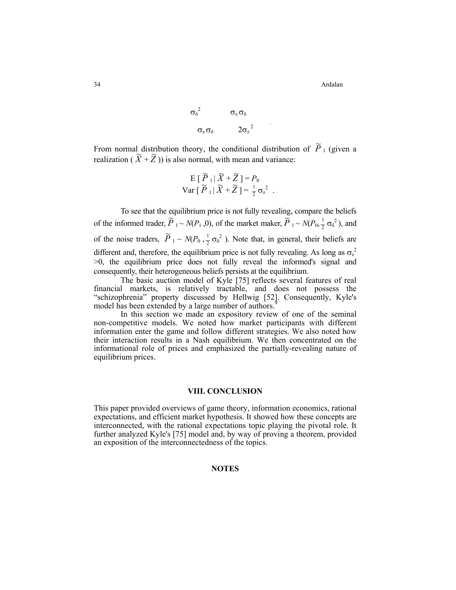34 Ardalan

$$
\begin{array}{cc}\n\sigma_{\delta}^2 & \sigma_z \sigma_{\delta} \\
\sigma_z \sigma_{\delta} & 2\sigma_z^2\n\end{array}
$$

From normal distribution theory, the conditional distribution of  $\tilde{P}_1$  (given a realization  $(\widetilde{X} + \widetilde{Z})$  is also normal, with mean and variance:

$$
E[\widetilde{P}_1|\widetilde{X}+\widetilde{Z}] = P_0
$$
  
Var[\widetilde{P}\_1|\widetilde{X}+\widetilde{Z}] =  $\frac{1}{2}\sigma_z^2$ .

To see that the equilibrium price is not fully revealing, compare the beliefs of the informed trader,  $\tilde{P}_1 \sim N(P_1, 0)$ , of the market maker,  $\tilde{P}_1 \sim N(P_0, \frac{1}{2} \sigma_\delta^2)$ , and of the noise traders,  $\tilde{P}_1 \sim N(P_0, \frac{1}{2} \sigma_\delta^2)$ . Note that, in general, their beliefs are different and, therefore, the equilibrium price is not fully revealing. As long as  $\sigma_z^2$ >0, the equilibrium price does not fully reveal the informed's signal and consequently, their heterogeneous beliefs persists at the equilibrium.

The basic auction model of Kyle [75] reflects several features of real financial markets, is relatively tractable, and does not possess the "schizophrenia" property discussed by Hellwig [52]. Consequently, Kyle's model has been extended by a large number of authors.<sup>9</sup>

In this section we made an expository review of one of the seminal non-competitive models. We noted how market participants with different information enter the game and follow different strategies. We also noted how their interaction results in a Nash equilibrium. We then concentrated on the informational role of prices and emphasized the partially-revealing nature of equilibrium prices.

### **VIII. CONCLUSION**

This paper provided overviews of game theory, information economics, rational expectations, and efficient market hypothesis. It showed how these concepts are interconnected, with the rational expectations topic playing the pivotal role. It further analyzed Kyle's [75] model and, by way of proving a theorem, provided an exposition of the interconnectedness of the topics.

# **NOTES**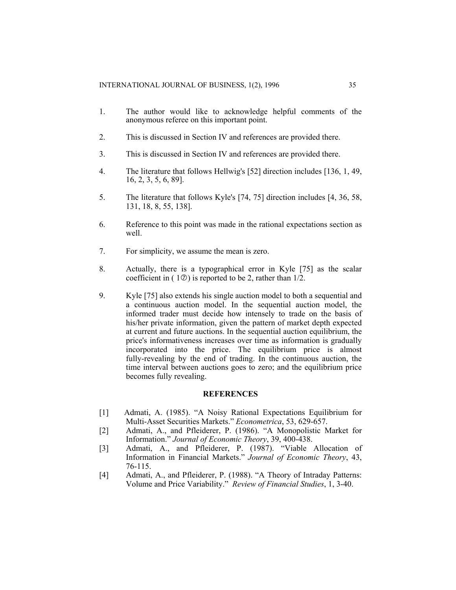- 1. The author would like to acknowledge helpful comments of the anonymous referee on this important point.
- 2. This is discussed in Section IV and references are provided there.
- 3. This is discussed in Section IV and references are provided there.
- 4. The literature that follows Hellwig's [52] direction includes [136, 1, 49, 16, 2, 3, 5, 6, 89].
- 5. The literature that follows Kyle's [74, 75] direction includes [4, 36, 58, 131, 18, 8, 55, 138].
- 6. Reference to this point was made in the rational expectations section as well.
- 7. For simplicity, we assume the mean is zero.
- 8. Actually, there is a typographical error in Kyle [75] as the scalar coefficient in  $(10)$  is reported to be 2, rather than  $1/2$ .
- 9. Kyle [75] also extends his single auction model to both a sequential and a continuous auction model. In the sequential auction model, the informed trader must decide how intensely to trade on the basis of his/her private information, given the pattern of market depth expected at current and future auctions. In the sequential auction equilibrium, the price's informativeness increases over time as information is gradually incorporated into the price. The equilibrium price is almost fully-revealing by the end of trading. In the continuous auction, the time interval between auctions goes to zero; and the equilibrium price becomes fully revealing.

#### **REFERENCES**

- [1] Admati, A. (1985). "A Noisy Rational Expectations Equilibrium for Multi-Asset Securities Markets." *Econometrica*, 53, 629-657.
- [2] Admati, A., and Pfleiderer, P. (1986). "A Monopolistic Market for Information." *Journal of Economic Theory*, 39, 400-438.
- [3] Admati, A., and Pfleiderer, P. (1987). "Viable Allocation of Information in Financial Markets." *Journal of Economic Theory*, 43, 76-115.
- [4] Admati, A., and Pfleiderer, P. (1988). "A Theory of Intraday Patterns: Volume and Price Variability." *Review of Financial Studies*, 1, 3-40.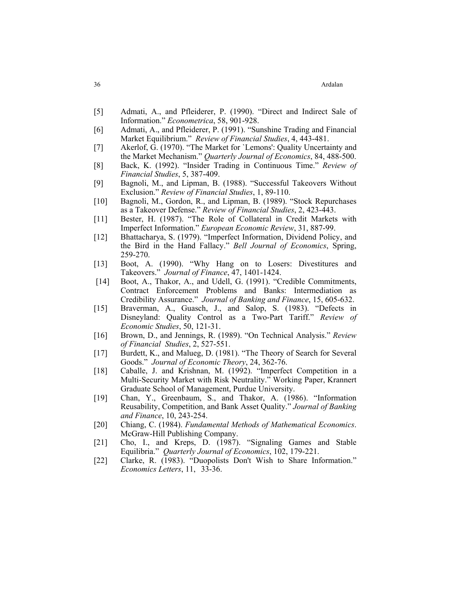- [5] Admati, A., and Pfleiderer, P. (1990). "Direct and Indirect Sale of Information." *Econometrica*, 58, 901-928.
- [6] Admati, A., and Pfleiderer, P. (1991). "Sunshine Trading and Financial Market Equilibrium." *Review of Financial Studies*, 4, 443-481.
- [7] Akerlof, G. (1970). "The Market for `Lemons': Quality Uncertainty and the Market Mechanism." *Quarterly Journal of Economics*, 84, 488-500.
- [8] Back, K. (1992). "Insider Trading in Continuous Time." *Review of Financial Studies*, 5, 387-409.
- [9] Bagnoli, M., and Lipman, B. (1988). "Successful Takeovers Without Exclusion." *Review of Financial Studies*, 1, 89-110.
- [10] Bagnoli, M., Gordon, R., and Lipman, B. (1989). "Stock Repurchases as a Takeover Defense." *Review of Financial Studies*, 2, 423-443.
- [11] Bester, H. (1987). "The Role of Collateral in Credit Markets with Imperfect Information." *European Economic Review*, 31, 887-99.
- [12] Bhattacharya, S. (1979). "Imperfect Information, Dividend Policy, and the Bird in the Hand Fallacy." *Bell Journal of Economics*, Spring, 259-270.
- [13] Boot, A. (1990). "Why Hang on to Losers: Divestitures and Takeovers." *Journal of Finance*, 47, 1401-1424.
- [14] Boot, A., Thakor, A., and Udell, G. (1991). "Credible Commitments, Contract Enforcement Problems and Banks: Intermediation as Credibility Assurance." *Journal of Banking and Finance*, 15, 605-632.
- [15] Braverman, A., Guasch, J., and Salop, S. (1983). "Defects in Disneyland: Quality Control as a Two-Part Tariff." *Review of Economic Studies*, 50, 121-31.
- [16] Brown, D., and Jennings, R. (1989). "On Technical Analysis." *Review of Financial Studies*, 2, 527-551.
- [17] Burdett, K., and Malueg, D. (1981). "The Theory of Search for Several Goods." *Journal of Economic Theory*, 24, 362-76.
- [18] Caballe, J. and Krishnan, M. (1992). "Imperfect Competition in a Multi-Security Market with Risk Neutrality." Working Paper, Krannert Graduate School of Management, Purdue University.
- [19] Chan, Y., Greenbaum, S., and Thakor, A. (1986). "Information Reusability, Competition, and Bank Asset Quality." *Journal of Banking and Finance*, 10, 243-254.
- [20] Chiang, C. (1984). *Fundamental Methods of Mathematical Economics*. McGraw-Hill Publishing Company.
- [21] Cho, I., and Kreps, D. (1987). "Signaling Games and Stable Equilibria." *Quarterly Journal of Economics*, 102, 179-221.
- [22] Clarke, R. (1983). "Duopolists Don't Wish to Share Information." *Economics Letters*, 11, 33-36.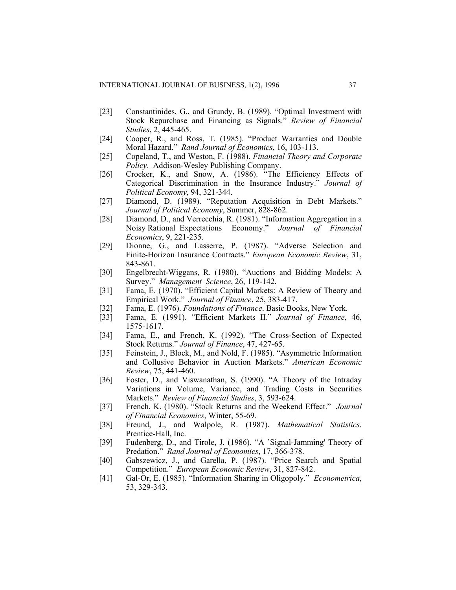- [23] Constantinides, G., and Grundy, B. (1989). "Optimal Investment with Stock Repurchase and Financing as Signals." *Review of Financial Studies*, 2, 445-465.
- [24] Cooper, R., and Ross, T. (1985). "Product Warranties and Double Moral Hazard." *Rand Journal of Economics*, 16, 103-113.
- [25] Copeland, T., and Weston, F. (1988). *Financial Theory and Corporate Policy*. Addison-Wesley Publishing Company.
- [26] Crocker, K., and Snow, A. (1986). "The Efficiency Effects of Categorical Discrimination in the Insurance Industry." *Journal of Political Economy*, 94, 321-344.
- [27] Diamond, D. (1989). "Reputation Acquisition in Debt Markets." *Journal of Political Economy*, Summer, 828-862.
- [28] Diamond, D., and Verrecchia, R. (1981). "Information Aggregation in a Noisy Rational Expectations Economy." *Journal of Financial Economics*, 9, 221-235.
- [29] Dionne, G., and Lasserre, P. (1987). "Adverse Selection and Finite-Horizon Insurance Contracts." *European Economic Review*, 31, 843-861.
- [30] Engelbrecht-Wiggans, R. (1980). "Auctions and Bidding Models: A Survey." *Management Science*, 26, 119-142.
- [31] Fama, E. (1970). "Efficient Capital Markets: A Review of Theory and Empirical Work." *Journal of Finance*, 25, 383-417.
- [32] Fama, E. (1976). *Foundations of Finance*. Basic Books, New York.
- [33] Fama, E. (1991). "Efficient Markets II." *Journal of Finance*, 46, 1575-1617.
- [34] Fama, E., and French, K. (1992). "The Cross-Section of Expected Stock Returns." *Journal of Finance*, 47, 427-65.
- [35] Feinstein, J., Block, M., and Nold, F. (1985). "Asymmetric Information and Collusive Behavior in Auction Markets." *American Economic Review*, 75, 441-460.
- [36] Foster, D., and Viswanathan, S. (1990). "A Theory of the Intraday Variations in Volume, Variance, and Trading Costs in Securities Markets." *Review of Financial Studies*, 3, 593-624.
- [37] French, K. (1980). "Stock Returns and the Weekend Effect." *Journal of Financial Economics*, Winter, 55-69.
- [38] Freund, J., and Walpole, R. (1987). *Mathematical Statistics*. Prentice-Hall, Inc.
- [39] Fudenberg, D., and Tirole, J. (1986). "A `Signal-Jamming' Theory of Predation." *Rand Journal of Economics*, 17, 366-378.
- [40] Gabszewicz, J., and Garella, P. (1987). "Price Search and Spatial Competition." *European Economic Review*, 31, 827-842.
- [41] Gal-Or, E. (1985). "Information Sharing in Oligopoly." *Econometrica*, 53, 329-343.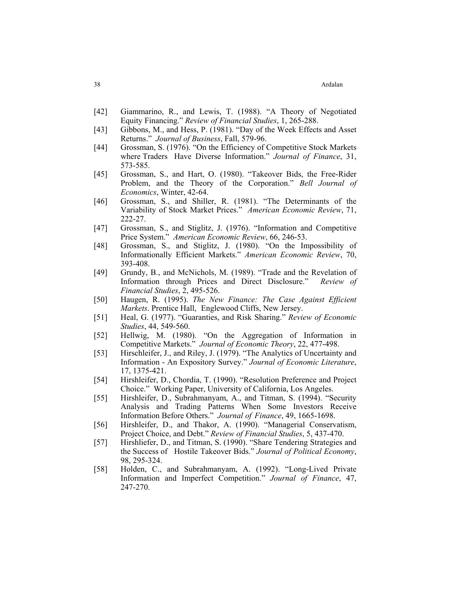- [42] Giammarino, R., and Lewis, T. (1988). "A Theory of Negotiated Equity Financing." *Review of Financial Studies*, 1, 265-288.
- [43] Gibbons, M., and Hess, P. (1981). "Day of the Week Effects and Asset Returns." *Journal of Business*, Fall, 579-96.
- [44] Grossman, S. (1976). "On the Efficiency of Competitive Stock Markets where Traders Have Diverse Information." *Journal of Finance*, 31, 573-585.
- [45] Grossman, S., and Hart, O. (1980). "Takeover Bids, the Free-Rider Problem, and the Theory of the Corporation." *Bell Journal of Economics*, Winter, 42-64.
- [46] Grossman, S., and Shiller, R. (1981). "The Determinants of the Variability of Stock Market Prices." *American Economic Review*, 71, 222-27.
- [47] Grossman, S., and Stiglitz, J. (1976). "Information and Competitive Price System." *American Economic Review*, 66, 246-53.
- [48] Grossman, S., and Stiglitz, J. (1980). "On the Impossibility of Informationally Efficient Markets." *American Economic Review*, 70, 393-408.
- [49] Grundy, B., and McNichols, M. (1989). "Trade and the Revelation of Information through Prices and Direct Disclosure." *Review of Financial Studies*, 2, 495-526.
- [50] Haugen, R. (1995). *The New Finance: The Case Against Efficient Markets*. Prentice Hall, Englewood Cliffs, New Jersey.
- [51] Heal, G. (1977). "Guaranties, and Risk Sharing." *Review of Economic Studies*, 44, 549-560.
- [52] Hellwig, M. (1980). "On the Aggregation of Information in Competitive Markets." *Journal of Economic Theory*, 22, 477-498.
- [53] Hirschleifer, J., and Riley, J. (1979). "The Analytics of Uncertainty and Information - An Expository Survey." *Journal of Economic Literature*, 17, 1375-421.
- [54] Hirshleifer, D., Chordia, T. (1990). "Resolution Preference and Project Choice." Working Paper, University of California, Los Angeles.
- [55] Hirshleifer, D., Subrahmanyam, A., and Titman, S. (1994). "Security Analysis and Trading Patterns When Some Investors Receive Information Before Others." *Journal of Finance*, 49, 1665-1698.
- [56] Hirshleifer, D., and Thakor, A. (1990). "Managerial Conservatism, Project Choice, and Debt." *Review of Financial Studies*, 5, 437-470.
- [57] Hirshliefer, D., and Titman, S. (1990). "Share Tendering Strategies and the Success of Hostile Takeover Bids." *Journal of Political Economy*, 98, 295-324.
- [58] Holden, C., and Subrahmanyam, A. (1992). "Long-Lived Private Information and Imperfect Competition." *Journal of Finance*, 47, 247-270.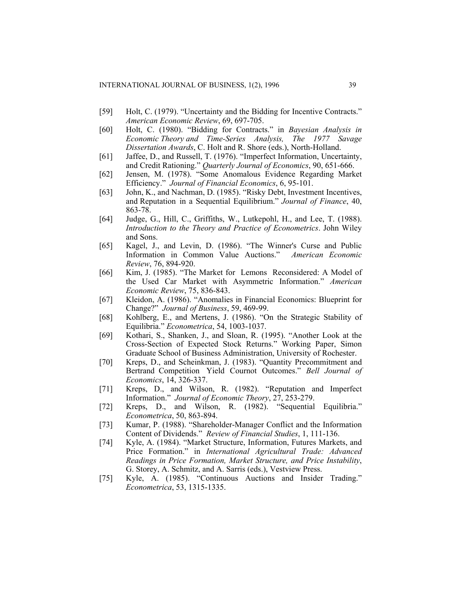- [59] Holt, C. (1979). "Uncertainty and the Bidding for Incentive Contracts." *American Economic Review*, 69, 697-705.
- [60] Holt, C. (1980). "Bidding for Contracts." in *Bayesian Analysis in Economic Theory and Time-Series Analysis, The 1977 Savage Dissertation Awards*, C. Holt and R. Shore (eds.), North-Holland.
- [61] Jaffee, D., and Russell, T. (1976). "Imperfect Information, Uncertainty, and Credit Rationing." *Quarterly Journal of Economics*, 90, 651-666.
- [62] Jensen, M. (1978). "Some Anomalous Evidence Regarding Market Efficiency." *Journal of Financial Economics*, 6, 95-101.
- [63] John, K., and Nachman, D. (1985). "Risky Debt, Investment Incentives, and Reputation in a Sequential Equilibrium." *Journal of Finance*, 40, 863-78.
- [64] Judge, G., Hill, C., Griffiths, W., Lutkepohl, H., and Lee, T. (1988). *Introduction to the Theory and Practice of Econometrics*. John Wiley and Sons.
- [65] Kagel, J., and Levin, D. (1986). "The Winner's Curse and Public Information in Common Value Auctions." *American Economic Review*, 76, 894-920.
- [66] Kim, J. (1985). "The Market for Lemons Reconsidered: A Model of the Used Car Market with Asymmetric Information." *American Economic Review*, 75, 836-843.
- [67] Kleidon, A. (1986). "Anomalies in Financial Economics: Blueprint for Change?" *Journal of Business*, 59, 469-99.
- [68] Kohlberg, E., and Mertens, J. (1986). "On the Strategic Stability of Equilibria." *Econometrica*, 54, 1003-1037.
- [69] Kothari, S., Shanken, J., and Sloan, R. (1995). "Another Look at the Cross-Section of Expected Stock Returns." Working Paper, Simon Graduate School of Business Administration, University of Rochester.
- [70] Kreps, D., and Scheinkman, J. (1983). "Quantity Precommitment and Bertrand Competition Yield Cournot Outcomes." *Bell Journal of Economics*, 14, 326-337.
- [71] Kreps, D., and Wilson, R. (1982). "Reputation and Imperfect Information." *Journal of Economic Theory*, 27, 253-279.
- [72] Kreps, D., and Wilson, R. (1982). "Sequential Equilibria." *Econometrica*, 50, 863-894.
- [73] Kumar, P. (1988). "Shareholder-Manager Conflict and the Information Content of Dividends." *Review of Financial Studies*, 1, 111-136.
- [74] Kyle, A. (1984). "Market Structure, Information, Futures Markets, and Price Formation." in *International Agricultural Trade: Advanced Readings in Price Formation, Market Structure, and Price Instability*, G. Storey, A. Schmitz, and A. Sarris (eds.), Vestview Press.
- [75] Kyle, A. (1985). "Continuous Auctions and Insider Trading." *Econometrica*, 53, 1315-1335.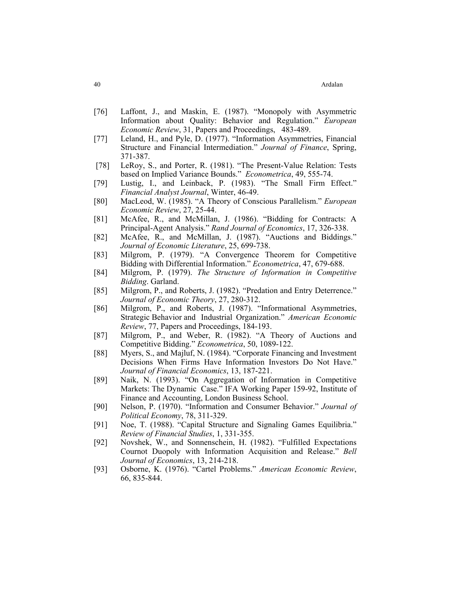- [76] Laffont, J., and Maskin, E. (1987). "Monopoly with Asymmetric Information about Quality: Behavior and Regulation." *European Economic Review*, 31, Papers and Proceedings, 483-489.
- [77] Leland, H., and Pyle, D. (1977). "Information Asymmetries, Financial Structure and Financial Intermediation." *Journal of Finance*, Spring, 371-387.
- [78] LeRoy, S., and Porter, R. (1981). "The Present-Value Relation: Tests based on Implied Variance Bounds." *Econometrica*, 49, 555-74.
- [79] Lustig, I., and Leinback, P. (1983). "The Small Firm Effect." *Financial Analyst Journal*, Winter, 46-49.
- [80] MacLeod, W. (1985). "A Theory of Conscious Parallelism." *European Economic Review*, 27, 25-44.
- [81] McAfee, R., and McMillan, J. (1986). "Bidding for Contracts: A Principal-Agent Analysis." *Rand Journal of Economics*, 17, 326-338.
- [82] McAfee, R., and McMillan, J. (1987). "Auctions and Biddings." *Journal of Economic Literature*, 25, 699-738.
- [83] Milgrom, P. (1979). "A Convergence Theorem for Competitive Bidding with Differential Information." *Econometrica*, 47, 679-688.
- [84] Milgrom, P. (1979). *The Structure of Information in Competitive Bidding*. Garland.
- [85] Milgrom, P., and Roberts, J. (1982). "Predation and Entry Deterrence." *Journal of Economic Theory*, 27, 280-312.
- [86] Milgrom, P., and Roberts, J. (1987). "Informational Asymmetries, Strategic Behavior and Industrial Organization." *American Economic Review*, 77, Papers and Proceedings, 184-193.
- [87] Milgrom, P., and Weber, R. (1982). "A Theory of Auctions and Competitive Bidding." *Econometrica*, 50, 1089-122.
- [88] Myers, S., and Majluf, N. (1984). "Corporate Financing and Investment Decisions When Firms Have Information Investors Do Not Have." *Journal of Financial Economics*, 13, 187-221.
- [89] Naik, N. (1993). "On Aggregation of Information in Competitive Markets: The Dynamic Case." IFA Working Paper 159-92, Institute of Finance and Accounting, London Business School.
- [90] Nelson, P. (1970). "Information and Consumer Behavior." *Journal of Political Economy*, 78, 311-329.
- [91] Noe, T. (1988). "Capital Structure and Signaling Games Equilibria." *Review of Financial Studies*, 1, 331-355.
- [92] Novshek, W., and Sonnenschein, H. (1982). "Fulfilled Expectations Cournot Duopoly with Information Acquisition and Release." *Bell Journal of Economics*, 13, 214-218.
- [93] Osborne, K. (1976). "Cartel Problems." *American Economic Review*, 66, 835-844.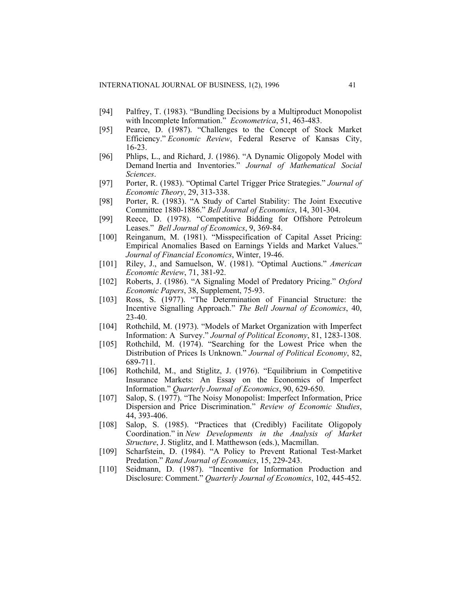- [94] Palfrey, T. (1983). "Bundling Decisions by a Multiproduct Monopolist with Incomplete Information." *Econometrica*, 51, 463-483.
- [95] Pearce, D. (1987). "Challenges to the Concept of Stock Market Efficiency." *Economic Review*, Federal Reserve of Kansas City, 16-23.
- [96] Phlips, L., and Richard, J. (1986). "A Dynamic Oligopoly Model with Demand Inertia and Inventories." *Journal of Mathematical Social Sciences*.
- [97] Porter, R. (1983). "Optimal Cartel Trigger Price Strategies." *Journal of Economic Theory*, 29, 313-338.
- [98] Porter, R. (1983). "A Study of Cartel Stability: The Joint Executive Committee 1880-1886." *Bell Journal of Economics*, 14, 301-304.
- [99] Reece, D. (1978). "Competitive Bidding for Offshore Petroleum Leases." *Bell Journal of Economics*, 9, 369-84.
- [100] Reinganum, M. (1981). "Misspecification of Capital Asset Pricing: Empirical Anomalies Based on Earnings Yields and Market Values." *Journal of Financial Economics*, Winter, 19-46.
- [101] Riley, J., and Samuelson, W. (1981). "Optimal Auctions." *American Economic Review*, 71, 381-92.
- [102] Roberts, J. (1986). "A Signaling Model of Predatory Pricing." *Oxford Economic Papers*, 38, Supplement, 75-93.
- [103] Ross, S. (1977). "The Determination of Financial Structure: the Incentive Signalling Approach." *The Bell Journal of Economics*, 40, 23-40.
- [104] Rothchild, M. (1973). "Models of Market Organization with Imperfect Information: A Survey." *Journal of Political Economy*, 81, 1283-1308.
- [105] Rothchild, M. (1974). "Searching for the Lowest Price when the Distribution of Prices Is Unknown." *Journal of Political Economy*, 82, 689-711.
- [106] Rothchild, M., and Stiglitz, J. (1976). "Equilibrium in Competitive Insurance Markets: An Essay on the Economics of Imperfect Information." *Quarterly Journal of Economics*, 90, 629-650.
- [107] Salop, S. (1977). "The Noisy Monopolist: Imperfect Information, Price Dispersion and Price Discrimination." *Review of Economic Studies*, 44, 393-406.
- [108] Salop, S. (1985). "Practices that (Credibly) Facilitate Oligopoly Coordination." in *New Developments in the Analysis of Market Structure*, J. Stiglitz, and I. Matthewson (eds.), Macmillan.
- [109] Scharfstein, D. (1984). "A Policy to Prevent Rational Test-Market Predation." *Rand Journal of Economics*, 15, 229-243.
- [110] Seidmann, D. (1987). "Incentive for Information Production and Disclosure: Comment." *Quarterly Journal of Economics*, 102, 445-452.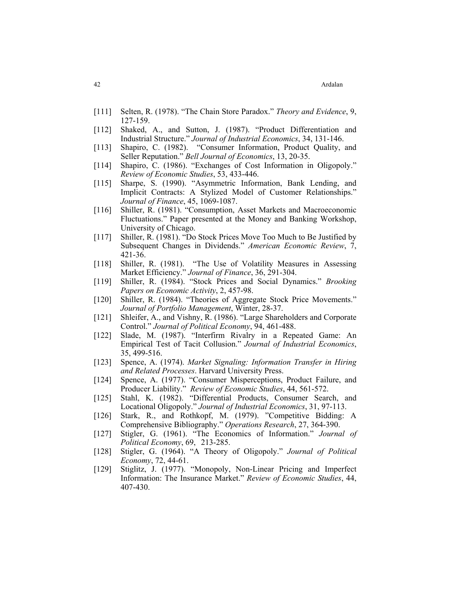- [111] Selten, R. (1978). "The Chain Store Paradox." *Theory and Evidence*, 9, 127-159.
- [112] Shaked, A., and Sutton, J. (1987). "Product Differentiation and Industrial Structure." *Journal of Industrial Economics*, 34, 131-146.
- [113] Shapiro, C. (1982). "Consumer Information, Product Quality, and Seller Reputation." *Bell Journal of Economics*, 13, 20-35.
- [114] Shapiro, C. (1986). "Exchanges of Cost Information in Oligopoly." *Review of Economic Studies*, 53, 433-446.
- [115] Sharpe, S. (1990). "Asymmetric Information, Bank Lending, and Implicit Contracts: A Stylized Model of Customer Relationships." *Journal of Finance*, 45, 1069-1087.
- [116] Shiller, R. (1981). "Consumption, Asset Markets and Macroeconomic Fluctuations." Paper presented at the Money and Banking Workshop, University of Chicago.
- [117] Shiller, R. (1981). "Do Stock Prices Move Too Much to Be Justified by Subsequent Changes in Dividends." *American Economic Review*, 7, 421-36.
- [118] Shiller, R. (1981). "The Use of Volatility Measures in Assessing Market Efficiency." *Journal of Finance*, 36, 291-304.
- [119] Shiller, R. (1984). "Stock Prices and Social Dynamics." *Brooking Papers on Economic Activity*, 2, 457-98.
- [120] Shiller, R. (1984). "Theories of Aggregate Stock Price Movements." *Journal of Portfolio Management*, Winter, 28-37.
- [121] Shleifer, A., and Vishny, R. (1986). "Large Shareholders and Corporate Control." *Journal of Political Economy*, 94, 461-488.
- [122] Slade, M. (1987). "Interfirm Rivalry in a Repeated Game: An Empirical Test of Tacit Collusion." *Journal of Industrial Economics*, 35, 499-516.
- [123] Spence, A. (1974). *Market Signaling: Information Transfer in Hiring and Related Processes*. Harvard University Press.
- [124] Spence, A. (1977). "Consumer Misperceptions, Product Failure, and Producer Liability." *Review of Economic Studies*, 44, 561-572.
- [125] Stahl, K. (1982). "Differential Products, Consumer Search, and Locational Oligopoly." *Journal of Industrial Economics*, 31, 97-113.
- [126] Stark, R., and Rothkopf, M. (1979). "Competitive Bidding: A Comprehensive Bibliography." *Operations Research*, 27, 364-390.
- [127] Stigler, G. (1961). "The Economics of Information." *Journal of Political Economy*, 69, 213-285.
- [128] Stigler, G. (1964). "A Theory of Oligopoly." *Journal of Political Economy*, 72, 44-61.
- [129] Stiglitz, J. (1977). "Monopoly, Non-Linear Pricing and Imperfect Information: The Insurance Market." *Review of Economic Studies*, 44, 407-430.